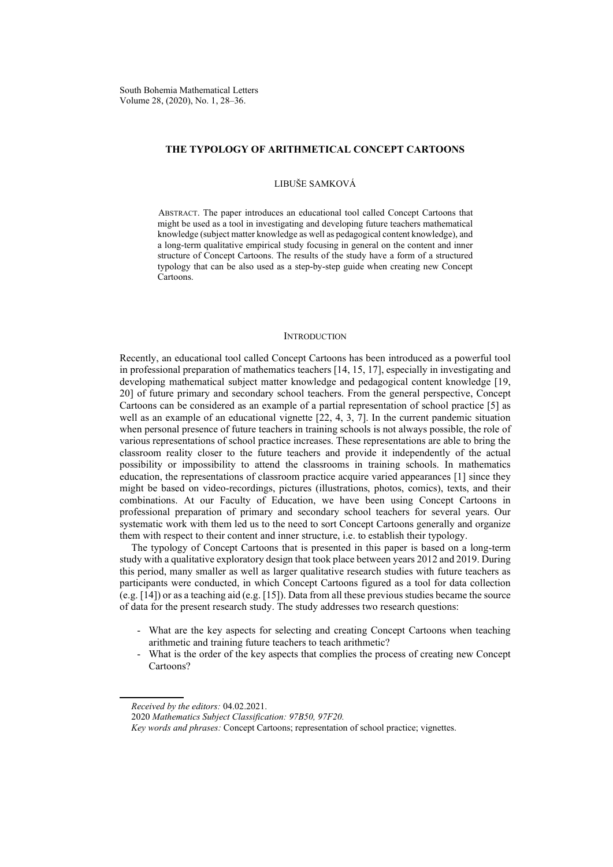#### **THE TYPOLOGY OF ARITHMETICAL CONCEPT CARTOONS**

## LIBUŠE SAMKOVÁ

ABSTRACT. The paper introduces an educational tool called Concept Cartoons that might be used as a tool in investigating and developing future teachers mathematical knowledge (subject matter knowledge as well as pedagogical content knowledge), and a long-term qualitative empirical study focusing in general on the content and inner structure of Concept Cartoons. The results of the study have a form of a structured typology that can be also used as a step-by-step guide when creating new Concept Cartoons.

#### **INTRODUCTION**

Recently, an educational tool called Concept Cartoons has been introduced as a powerful tool in professional preparation of mathematics teachers [14, 15, 17], especially in investigating and developing mathematical subject matter knowledge and pedagogical content knowledge [19, 20] of future primary and secondary school teachers. From the general perspective, Concept Cartoons can be considered as an example of a partial representation of school practice [5] as well as an example of an educational vignette [22, 4, 3, 7]. In the current pandemic situation when personal presence of future teachers in training schools is not always possible, the role of various representations of school practice increases. These representations are able to bring the classroom reality closer to the future teachers and provide it independently of the actual possibility or impossibility to attend the classrooms in training schools. In mathematics education, the representations of classroom practice acquire varied appearances [1] since they might be based on video-recordings, pictures (illustrations, photos, comics), texts, and their combinations. At our Faculty of Education, we have been using Concept Cartoons in professional preparation of primary and secondary school teachers for several years. Our systematic work with them led us to the need to sort Concept Cartoons generally and organize them with respect to their content and inner structure, i.e. to establish their typology.

The typology of Concept Cartoons that is presented in this paper is based on a long-term study with a qualitative exploratory design that took place between years 2012 and 2019. During this period, many smaller as well as larger qualitative research studies with future teachers as participants were conducted, in which Concept Cartoons figured as a tool for data collection (e.g. [14]) or as a teaching aid (e.g. [15]). Data from all these previous studies became the source of data for the present research study. The study addresses two research questions:

- What are the key aspects for selecting and creating Concept Cartoons when teaching arithmetic and training future teachers to teach arithmetic?
- What is the order of the key aspects that complies the process of creating new Concept Cartoons?

*Received by the editors:* 04.02.2021.

<sup>2020</sup> *Mathematics Subject Classification: 97B50, 97F20.*

*Key words and phrases:* Concept Cartoons; representation of school practice; vignettes.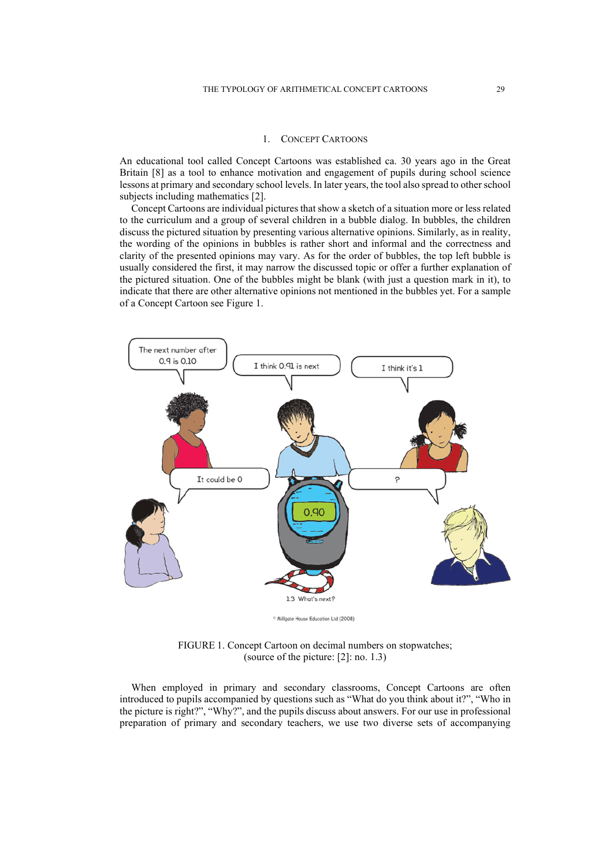## 1. CONCEPT CARTOONS

An educational tool called Concept Cartoons was established ca. 30 years ago in the Great Britain [8] as a tool to enhance motivation and engagement of pupils during school science lessons at primary and secondary school levels. In later years, the tool also spread to other school subjects including mathematics [2].

Concept Cartoons are individual pictures that show a sketch of a situation more or less related to the curriculum and a group of several children in a bubble dialog. In bubbles, the children discuss the pictured situation by presenting various alternative opinions. Similarly, as in reality, the wording of the opinions in bubbles is rather short and informal and the correctness and clarity of the presented opinions may vary. As for the order of bubbles, the top left bubble is usually considered the first, it may narrow the discussed topic or offer a further explanation of the pictured situation. One of the bubbles might be blank (with just a question mark in it), to indicate that there are other alternative opinions not mentioned in the bubbles yet. For a sample of a Concept Cartoon see Figure 1.



<sup>o</sup> Millgate House Education Ltd (2008)

FIGURE 1. Concept Cartoon on decimal numbers on stopwatches; (source of the picture: [2]: no. 1.3)

When employed in primary and secondary classrooms, Concept Cartoons are often introduced to pupils accompanied by questions such as "What do you think about it?", "Who in the picture is right?", "Why?", and the pupils discuss about answers. For our use in professional preparation of primary and secondary teachers, we use two diverse sets of accompanying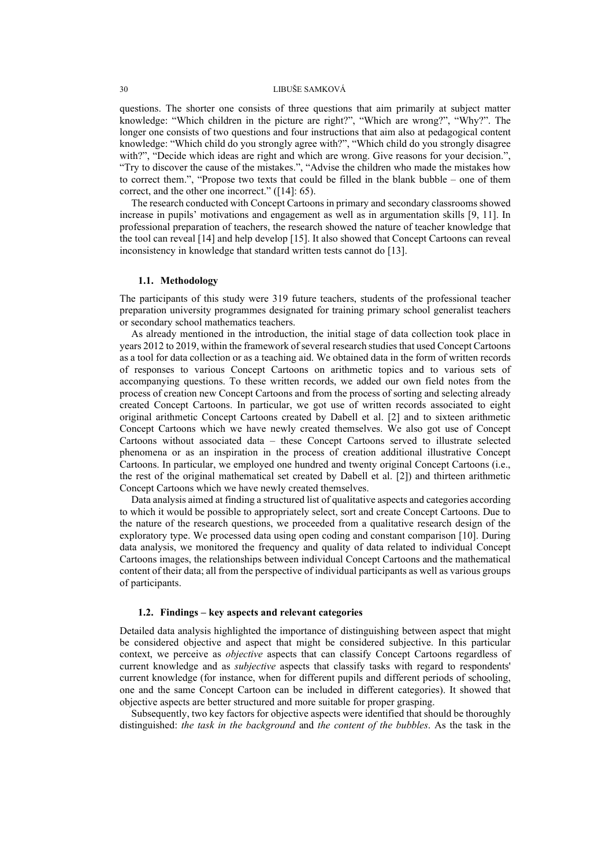questions. The shorter one consists of three questions that aim primarily at subject matter knowledge: "Which children in the picture are right?", "Which are wrong?", "Why?". The longer one consists of two questions and four instructions that aim also at pedagogical content knowledge: "Which child do you strongly agree with?", "Which child do you strongly disagree with?", "Decide which ideas are right and which are wrong. Give reasons for your decision.", "Try to discover the cause of the mistakes.", "Advise the children who made the mistakes how to correct them.", "Propose two texts that could be filled in the blank bubble – one of them correct, and the other one incorrect." ([14]: 65).

The research conducted with Concept Cartoons in primary and secondary classrooms showed increase in pupils' motivations and engagement as well as in argumentation skills [9, 11]. In professional preparation of teachers, the research showed the nature of teacher knowledge that the tool can reveal [14] and help develop [15]. It also showed that Concept Cartoons can reveal inconsistency in knowledge that standard written tests cannot do [13].

## **1.1. Methodology**

The participants of this study were 319 future teachers, students of the professional teacher preparation university programmes designated for training primary school generalist teachers or secondary school mathematics teachers.

As already mentioned in the introduction, the initial stage of data collection took place in years 2012 to 2019, within the framework of several research studies that used Concept Cartoons as a tool for data collection or as a teaching aid. We obtained data in the form of written records of responses to various Concept Cartoons on arithmetic topics and to various sets of accompanying questions. To these written records, we added our own field notes from the process of creation new Concept Cartoons and from the process of sorting and selecting already created Concept Cartoons. In particular, we got use of written records associated to eight original arithmetic Concept Cartoons created by Dabell et al. [2] and to sixteen arithmetic Concept Cartoons which we have newly created themselves. We also got use of Concept Cartoons without associated data – these Concept Cartoons served to illustrate selected phenomena or as an inspiration in the process of creation additional illustrative Concept Cartoons. In particular, we employed one hundred and twenty original Concept Cartoons (i.e., the rest of the original mathematical set created by Dabell et al. [2]) and thirteen arithmetic Concept Cartoons which we have newly created themselves.

Data analysis aimed at finding a structured list of qualitative aspects and categories according to which it would be possible to appropriately select, sort and create Concept Cartoons. Due to the nature of the research questions, we proceeded from a qualitative research design of the exploratory type. We processed data using open coding and constant comparison [10]. During data analysis, we monitored the frequency and quality of data related to individual Concept Cartoons images, the relationships between individual Concept Cartoons and the mathematical content of their data; all from the perspective of individual participants as well as various groups of participants.

# **1.2. Findings – key aspects and relevant categories**

Detailed data analysis highlighted the importance of distinguishing between aspect that might be considered objective and aspect that might be considered subjective. In this particular context, we perceive as *objective* aspects that can classify Concept Cartoons regardless of current knowledge and as *subjective* aspects that classify tasks with regard to respondents' current knowledge (for instance, when for different pupils and different periods of schooling, one and the same Concept Cartoon can be included in different categories). It showed that objective aspects are better structured and more suitable for proper grasping.

Subsequently, two key factors for objective aspects were identified that should be thoroughly distinguished: *the task in the background* and *the content of the bubbles*. As the task in the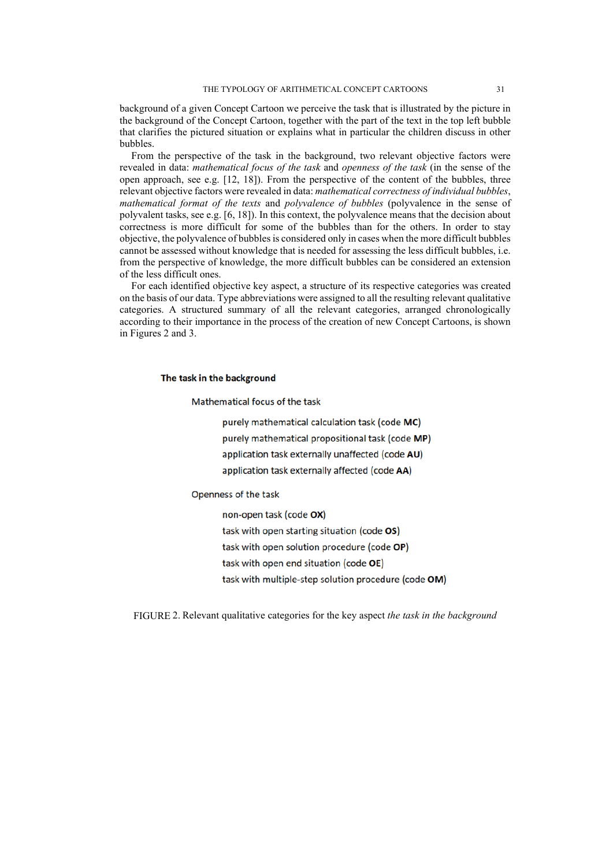background of a given Concept Cartoon we perceive the task that is illustrated by the picture in the background of the Concept Cartoon, together with the part of the text in the top left bubble that clarifies the pictured situation or explains what in particular the children discuss in other bubbles.

From the perspective of the task in the background, two relevant objective factors were revealed in data: *mathematical focus of the task* and *openness of the task* (in the sense of the open approach, see e.g. [12, 18]). From the perspective of the content of the bubbles, three relevant objective factors were revealed in data: *mathematical correctness of individual bubbles*, *mathematical format of the texts* and *polyvalence of bubbles* (polyvalence in the sense of polyvalent tasks, see e.g. [6, 18]). In this context, the polyvalence means that the decision about correctness is more difficult for some of the bubbles than for the others. In order to stay objective, the polyvalence of bubbles is considered only in cases when the more difficult bubbles cannot be assessed without knowledge that is needed for assessing the less difficult bubbles, i.e. from the perspective of knowledge, the more difficult bubbles can be considered an extension of the less difficult ones.

For each identified objective key aspect, a structure of its respective categories was created on the basis of our data. Type abbreviations were assigned to all the resulting relevant qualitative categories. A structured summary of all the relevant categories, arranged chronologically according to their importance in the process of the creation of new Concept Cartoons, is shown in Figures 2 and 3.

# The task in the background

Mathematical focus of the task

purely mathematical calculation task (code MC)

purely mathematical propositional task (code MP)

application task externally unaffected (code AU)

application task externally affected (code AA)

Openness of the task

non-open task (code OX) task with open starting situation (code OS) task with open solution procedure (code OP) task with open end situation (code OE) task with multiple-step solution procedure (code OM)

FIGURE 2. Relevant qualitative categories for the key aspect *the task in the background*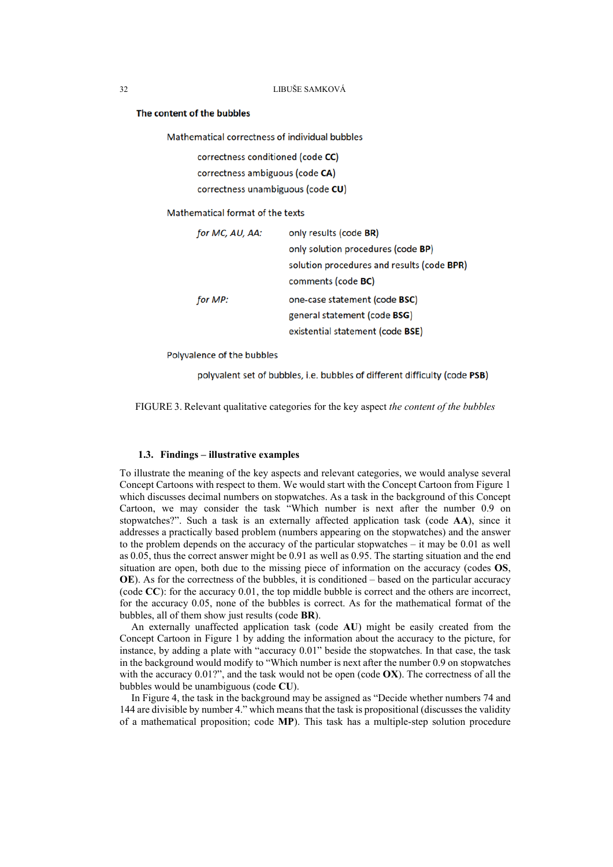#### The content of the bubbles

Mathematical correctness of individual bubbles

```
correctness conditioned (code CC)
correctness ambiguous (code CA)
correctness unambiguous (code CU)
```
Mathematical format of the texts

| for MC, AU, AA: | only results (code BR)                     |
|-----------------|--------------------------------------------|
|                 | only solution procedures (code BP)         |
|                 | solution procedures and results (code BPR) |
|                 | comments (code BC)                         |
| for MP:         | one-case statement (code BSC)              |
|                 | general statement (code BSG)               |
|                 | existential statement (code BSE)           |

Polyvalence of the bubbles

polyvalent set of bubbles, i.e. bubbles of different difficulty (code PSB)

FIGURE 3. Relevant qualitative categories for the key aspect *the content of the bubbles*

# **1.3. Findings – illustrative examples**

To illustrate the meaning of the key aspects and relevant categories, we would analyse several Concept Cartoons with respect to them. We would start with the Concept Cartoon from Figure 1 which discusses decimal numbers on stopwatches. As a task in the background of this Concept Cartoon, we may consider the task "Which number is next after the number 0.9 on stopwatches?". Such a task is an externally affected application task (code **AA**), since it addresses a practically based problem (numbers appearing on the stopwatches) and the answer to the problem depends on the accuracy of the particular stopwatches – it may be 0.01 as well as 0.05, thus the correct answer might be 0.91 as well as 0.95. The starting situation and the end situation are open, both due to the missing piece of information on the accuracy (codes **OS**, **OE**). As for the correctness of the bubbles, it is conditioned – based on the particular accuracy (code **CC**): for the accuracy 0.01, the top middle bubble is correct and the others are incorrect, for the accuracy 0.05, none of the bubbles is correct. As for the mathematical format of the bubbles, all of them show just results (code **BR**).

An externally unaffected application task (code **AU**) might be easily created from the Concept Cartoon in Figure 1 by adding the information about the accuracy to the picture, for instance, by adding a plate with "accuracy 0.01" beside the stopwatches. In that case, the task in the background would modify to "Which number is next after the number 0.9 on stopwatches with the accuracy 0.01?", and the task would not be open (code **OX**). The correctness of all the bubbles would be unambiguous (code **CU**).

In Figure 4, the task in the background may be assigned as "Decide whether numbers 74 and 144 are divisible by number 4." which means that the task is propositional (discusses the validity of a mathematical proposition; code **MP**). This task has a multiple-step solution procedure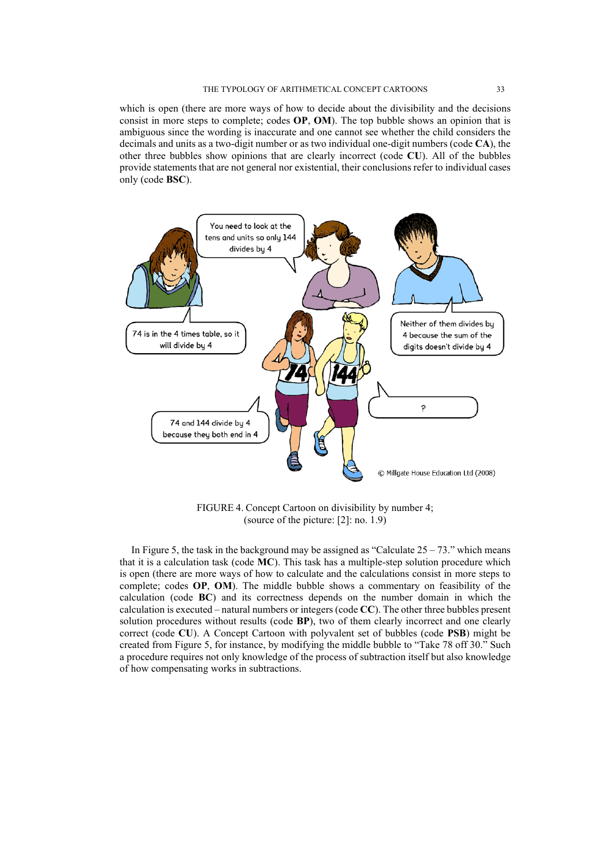which is open (there are more ways of how to decide about the divisibility and the decisions consist in more steps to complete; codes **OP**, **OM**). The top bubble shows an opinion that is ambiguous since the wording is inaccurate and one cannot see whether the child considers the decimals and units as a two-digit number or as two individual one-digit numbers (code **CA**), the other three bubbles show opinions that are clearly incorrect (code **CU**). All of the bubbles provide statements that are not general nor existential, their conclusions refer to individual cases only (code **BSC**).



FIGURE 4. Concept Cartoon on divisibility by number 4; (source of the picture: [2]: no. 1.9)

In Figure 5, the task in the background may be assigned as "Calculate  $25 - 73$ ." which means that it is a calculation task (code **MC**). This task has a multiple-step solution procedure which is open (there are more ways of how to calculate and the calculations consist in more steps to complete; codes **OP**, **OM**). The middle bubble shows a commentary on feasibility of the calculation (code **BC**) and its correctness depends on the number domain in which the calculation is executed – natural numbers or integers (code **CC**). The other three bubbles present solution procedures without results (code **BP**), two of them clearly incorrect and one clearly correct (code **CU**). A Concept Cartoon with polyvalent set of bubbles (code **PSB**) might be created from Figure 5, for instance, by modifying the middle bubble to "Take 78 off 30." Such a procedure requires not only knowledge of the process of subtraction itself but also knowledge of how compensating works in subtractions.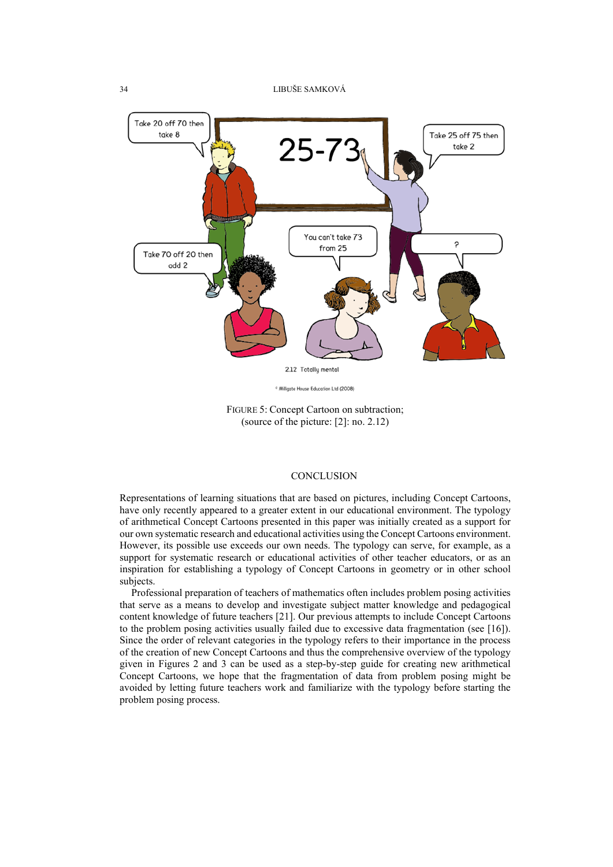

FIGURE 5: Concept Cartoon on subtraction; (source of the picture: [2]: no. 2.12)

## **CONCLUSION**

Representations of learning situations that are based on pictures, including Concept Cartoons, have only recently appeared to a greater extent in our educational environment. The typology of arithmetical Concept Cartoons presented in this paper was initially created as a support for our own systematic research and educational activities using the Concept Cartoons environment. However, its possible use exceeds our own needs. The typology can serve, for example, as a support for systematic research or educational activities of other teacher educators, or as an inspiration for establishing a typology of Concept Cartoons in geometry or in other school subjects.

Professional preparation of teachers of mathematics often includes problem posing activities that serve as a means to develop and investigate subject matter knowledge and pedagogical content knowledge of future teachers [21]. Our previous attempts to include Concept Cartoons to the problem posing activities usually failed due to excessive data fragmentation (see [16]). Since the order of relevant categories in the typology refers to their importance in the process of the creation of new Concept Cartoons and thus the comprehensive overview of the typology given in Figures 2 and 3 can be used as a step-by-step guide for creating new arithmetical Concept Cartoons, we hope that the fragmentation of data from problem posing might be avoided by letting future teachers work and familiarize with the typology before starting the problem posing process.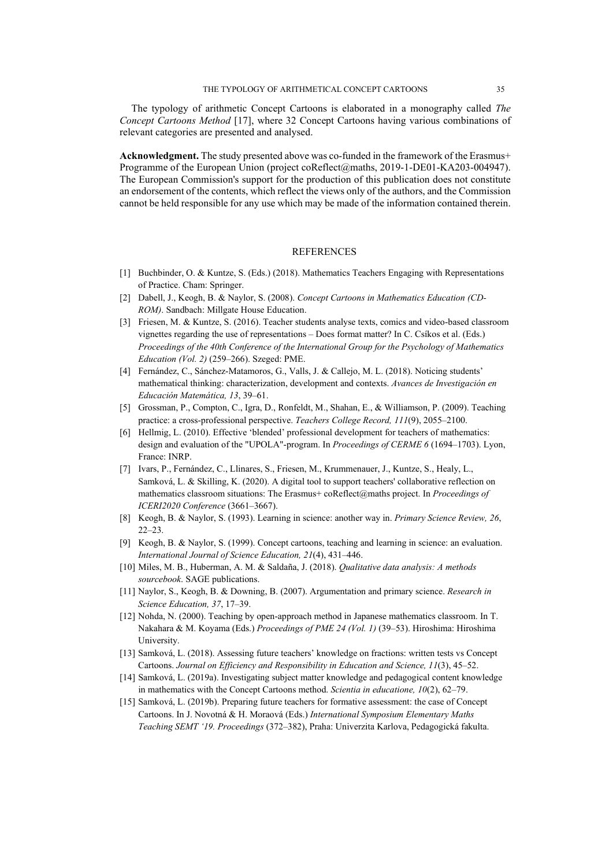The typology of arithmetic Concept Cartoons is elaborated in a monography called *The Concept Cartoons Method* [17], where 32 Concept Cartoons having various combinations of relevant categories are presented and analysed.

**Acknowledgment.** The study presented above was co-funded in the framework of the Erasmus+ Programme of the European Union (project coReflect@maths, 2019-1-DE01-KA203-004947). The European Commission's support for the production of this publication does not constitute an endorsement of the contents, which reflect the views only of the authors, and the Commission cannot be held responsible for any use which may be made of the information contained therein.

## **REFERENCES**

- [1] Buchbinder, O. & Kuntze, S. (Eds.) (2018). Mathematics Teachers Engaging with Representations of Practice. Cham: Springer.
- [2] Dabell, J., Keogh, B. & Naylor, S. (2008). *Concept Cartoons in Mathematics Education (CD-ROM)*. Sandbach: Millgate House Education.
- [3] Friesen, M. & Kuntze, S. (2016). Teacher students analyse texts, comics and video-based classroom vignettes regarding the use of representations – Does format matter? In C. Csíkos et al. (Eds.) *Proceedings of the 40th Conference of the International Group for the Psychology of Mathematics Education (Vol. 2)* (259–266). Szeged: PME.
- [4] Fernández, C., Sánchez-Matamoros, G., Valls, J. & Callejo, M. L. (2018). Noticing students' mathematical thinking: characterization, development and contexts. *Avances de Investigación en Educación Matemática, 13*, 39–61.
- [5] Grossman, P., Compton, C., Igra, D., Ronfeldt, M., Shahan, E., & Williamson, P. (2009). Teaching practice: a cross-professional perspective. *Teachers College Record, 111*(9), 2055–2100.
- [6] Hellmig, L. (2010). Effective 'blended' professional development for teachers of mathematics: design and evaluation of the "UPOLA"-program. In *Proceedings of CERME 6* (1694–1703). Lyon, France: INRP.
- [7] Ivars, P., Fernández, C., Llinares, S., Friesen, M., Krummenauer, J., Kuntze, S., Healy, L., Samková, L. & Skilling, K. (2020). A digital tool to support teachers' collaborative reflection on mathematics classroom situations: The Erasmus+ coReflect@maths project. In *Proceedings of ICERI2020 Conference* (3661–3667).
- [8] Keogh, B. & Naylor, S. (1993). Learning in science: another way in. *Primary Science Review, 26*, 22–23.
- [9] Keogh, B. & Naylor, S. (1999). Concept cartoons, teaching and learning in science: an evaluation. *International Journal of Science Education, 21*(4), 431–446.
- [10] Miles, M. B., Huberman, A. M. & Saldaña, J. (2018). *Qualitative data analysis: A methods sourcebook*. SAGE publications.
- [11] Naylor, S., Keogh, B. & Downing, B. (2007). Argumentation and primary science. *Research in Science Education, 37*, 17–39.
- [12] Nohda, N. (2000). Teaching by open-approach method in Japanese mathematics classroom. In T. Nakahara & M. Koyama (Eds.) *Proceedings of PME 24 (Vol. 1)* (39–53). Hiroshima: Hiroshima University.
- [13] Samková, L. (2018). Assessing future teachers' knowledge on fractions: written tests vs Concept Cartoons. *Journal on Efficiency and Responsibility in Education and Science, 11*(3), 45–52.
- [14] Samková, L. (2019a). Investigating subject matter knowledge and pedagogical content knowledge in mathematics with the Concept Cartoons method. *Scientia in educatione, 10*(2), 62–79.
- [15] Samková, L. (2019b). Preparing future teachers for formative assessment: the case of Concept Cartoons. In J. Novotná & H. Moraová (Eds.) *International Symposium Elementary Maths Teaching SEMT '19. Proceedings* (372–382), Praha: Univerzita Karlova, Pedagogická fakulta.